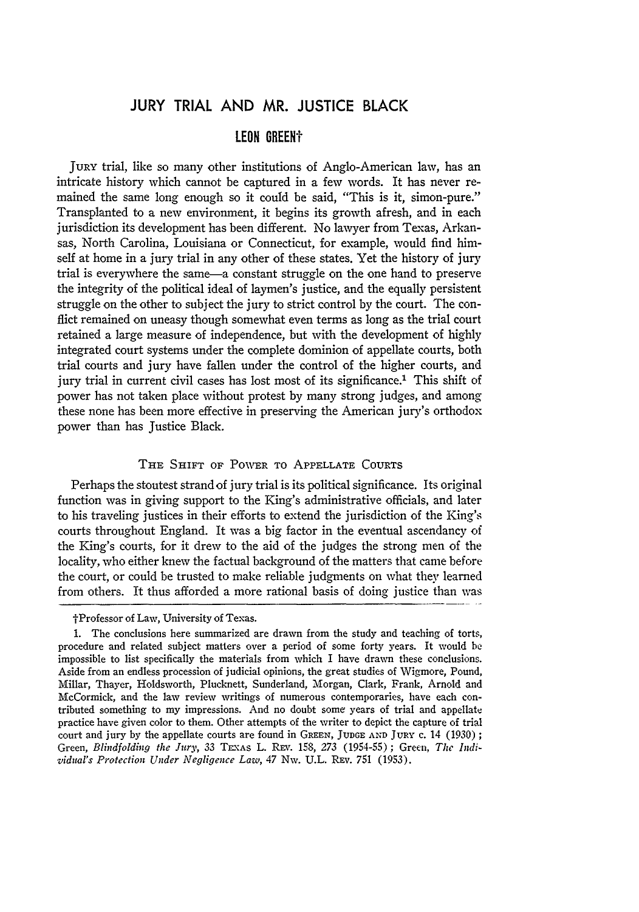# **JURY** TRIAL **AND** MR. **JUSTICE** BLACK

## **LEON GREENt**

JuRY trial, like so many other institutions of Anglo-American law, has an intricate history which cannot be captured in a few words. It has never remained the same long enough so it could be said, "This is it, simon-pure." Transplanted to a new environment, it begins its growth afresh, and in each jurisdiction its development has been different. No lawyer from Texas, Arkansas, North Carolina, Louisiana or Connecticut, for example, would find himself at home in a jury trial in any other of these states. Yet the history of jury trial is everywhere the same-a constant struggle on the one hand to preserve the integrity of the political ideal of laymen's justice, and the equally persistent struggle on the other to subject the jury to strict control by the court. The conflict remained on uneasy though somewhat even terms as long as the trial court retained a large measure of independence, but with the development **of** highly integrated court systems under the complete dominion of appellate courts, both trial courts and jury have fallen under the control of the higher courts, and jury trial in current civil cases has lost most of its significance.<sup>1</sup> This shift of power has not taken place without protest by many strong judges, and among these none has been more effective in preserving the American jury's orthodox power than has Justice Black.

### THE SHIFT **OF** PONWER **TO APPELLATE** CouRTs

Perhaps the stoutest strand of jury trial is its political significance. Its original function was in giving support to the King's administrative officials, and later to his traveling justices in their efforts to extend the jurisdiction of the King's courts throughout England. It was a big factor in the eventual ascendancy of the King's courts, for it drew to the aid of the judges the strong men of the locality, who either knew the factual background of the matters that came before the court, or could be trusted to make reliable judgments on what they learned from others. It thus afforded a more rational basis of doing justice than was

tProfessor of Law, University of Texas.

<sup>1.</sup> The conclusions here summarized are drawn from the study and teaching of torts, procedure and related subject matters over a period of some forty years. It would be impossible to list specifically the materials from which I have drawn these conclusions. Aside from an endless procession of judicial opinions, the great studies of Wigmore, Pound, Millar, Thayer, Holdsworth, Plucknett, Sunderland, Morgan, Clark, Frank, Arnold and McCormick, and the law review writings of numerous contemporaries, have each contributed something to my impressions. And no doubt some years of trial and appellate practice have given color to them. Other attempts of the writer to depict the capture of trial court and jury by the appellate courts are found in GREEN, **JUDGE AND** JuRY **C.** 14 (1930) *;* Green, *Blindfolding the Jury*, 33 TEXAS L. REV. 158, 273 (1954-55); Green, The Indi*vidual's Protection Under Negligence Law,* 47 Nw. U.L. REv. 751 (1953).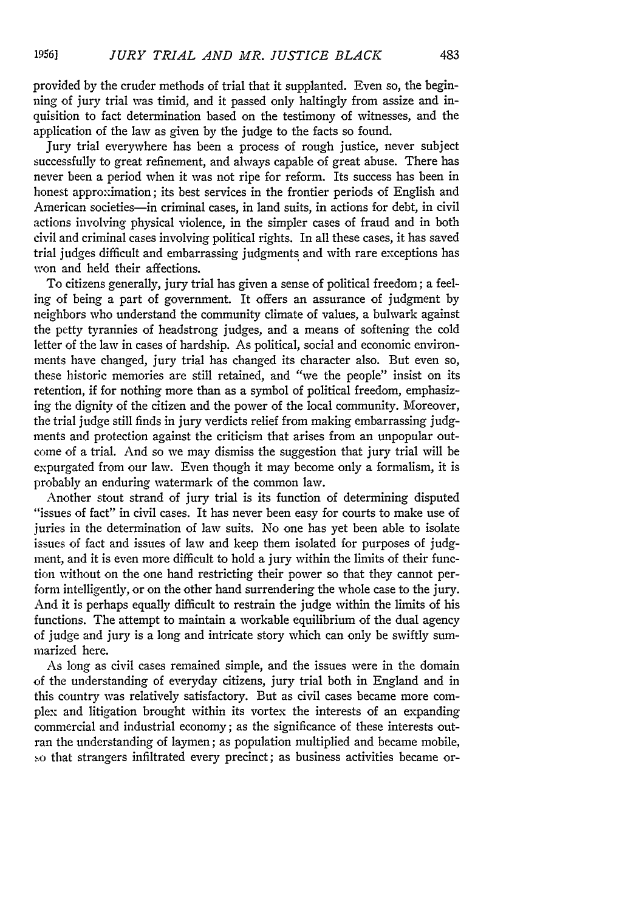provided by the cruder methods of trial that it supplanted. Even so, the beginning of jury trial was timid, and it passed only haltingly from assize and inquisition to fact determination based on the testimony of witnesses, and the application of the law as given **by** the judge to the facts so found.

Jury trial everywhere has been a process of rough justice, never subject successfully to great refinement, and always capable of great abuse. There has never been a period when it was not ripe for reform. Its success has been in honest approximation; its best services in the frontier periods of English and American societies-in criminal cases, in land suits, in actions for debt, in civil actions involving physical violence, in the simpler cases of fraud and in both civil and criminal cases involving political rights. In all these cases, it has saved trial judges difficult and embarrassing judgments and with rare exceptions has won and held their affections.

To citizens generally, jury trial has given a sense of political freedom; a feeling of being a part of government. It offers an assurance of judgment **by** neighbors who understand the community climate of values, a bulwark against the petty tyrannies of headstrong judges, and a means of softening the cold letter of the law in cases of hardship. As political, social and economic environments have changed, jury trial has changed its character also. But even so, these historic memories are still retained, and "we the people" insist on its retention, if for nothing more than as a symbol of political freedom, emphasizing the dignity of the citizen and the power of the local community. Moreover, the trial judge still finds in jury verdicts relief from making embarrassing judgments and protection against the criticism that arises from an unpopular outcome of a trial. And so we may dismiss the suggestion that jury trial will be expurgated from our law. Even though it may become only a formalism, it is probably an enduring watermark of the common law.

Another stout strand of jury trial is its function of determining disputed "issues of fact" in civil cases. It has never been easy for courts to make use of juries in the determination of law suits. No one has yet been able to isolate issues of fact and issues of law and keep them isolated for purposes of judgment, and it is even more difficult to hold a jury within the limits of their function without on the one hand restricting their power so that they cannot perform intelligently, or on the other hand surrendering the whole case to the jury. And it is perhaps equally difficult to restrain the judge within the limits of his functions. The attempt to maintain a workable equilibrium of the dual agency of judge and jury is a long and intricate story which can only be swiftly summarized here.

As long as civil cases remained simple, and the issues were in the domain of the understanding of everyday citizens, jury trial both in England and in this country was relatively satisfactory. But as civil cases became more complex and litigation brought within its vortex the interests of an expanding commercial and industrial economy; as the significance of these interests outran the understanding of laymen; as population multiplied and became mobile, so that strangers infiltrated every precinct; as business activities became or-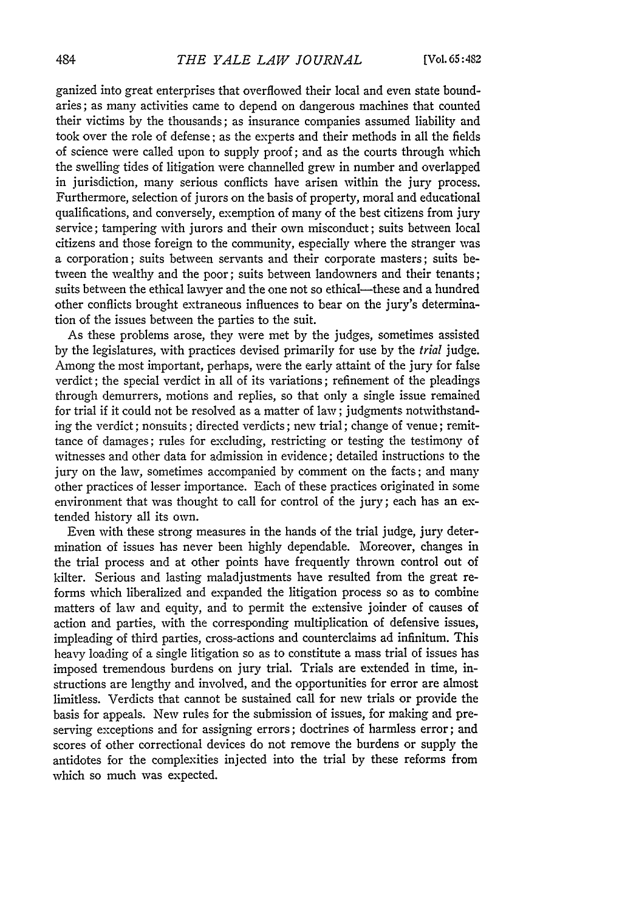ganized into great enterprises that overflowed their local and even state boundaries; as many activities came to depend on dangerous machines that counted their victims **by** the thousands; as insurance companies assumed liability and took over the role of defense; as the experts and their methods in all the fields of science were called upon to supply proof; and as the courts through which the swelling tides of litigation were channelled grew in number and overlapped in jurisdiction, many serious conflicts have arisen within the jury process. Furthermore, selection of jurors on the basis of property, moral and educational qualifications, and conversely, exemption of many of the best citizens from jury service; tampering with jurors and their own misconduct; suits between local citizens and those foreign to the community, especially where the stranger was a corporation; suits between servants and their corporate masters; suits between the wealthy and the poor; suits between landowners and their tenants; suits between the ethical lawyer and the one not so ethical---these and a hundred other conflicts brought extraneous influences to bear on the jury's determination of the issues between the parties to the suit.

As these problems arose, they were met **by** the judges, sometimes assisted **by** the legislatures, with practices devised primarily for use **by** the *trial* judge. Among the most important, perhaps, were the early attaint of the jury for false verdict; the special verdict in all of its variations; refinement of the pleadings through demurrers, motions and replies, so that only a single issue remained for trial if it could not be resolved as a matter of law; judgments notwithstanding the verdict; nonsuits; directed verdicts; new trial; change of venue; remittance of damages; rules for excluding, restricting or testing the testimony of witnesses and other data for admission in evidence; detailed instructions to the jury on the law, sometimes accompanied **by** comment on the facts; and many other practices of lesser importance. Each of these practices originated in some environment that was thought to call for control of the jury; each has an extended history all its own.

Even with these strong measures in the hands of the trial judge, jury determination of issues has never been highly dependable. Moreover, changes in the trial process and at other points have frequently thrown control out of kilter. Serious and lasting maladjustments have resulted from the great reforms which liberalized and expanded the litigation process so as to combine matters of law and equity, and to permit the extensive joinder of causes of action and parties, with the corresponding multiplication of defensive issues, impleading of third parties, cross-actions and counterclaims ad infinitum. This heavy loading of a single litigation so as to constitute a mass trial of issues has imposed tremendous burdens on jury trial. Trials are extended in time, instructions are lengthy and involved, and the opportunities for error are almost limitless. Verdicts that cannot be sustained call for new trials or provide the basis for appeals. New rules for the submission of issues, for making and preserving exceptions and for assigning errors; doctrines of harmless error; and scores of other correctional devices do not remove the burdens or supply the antidotes for the complexities injected into the trial **by** these reforms from which so much was expected.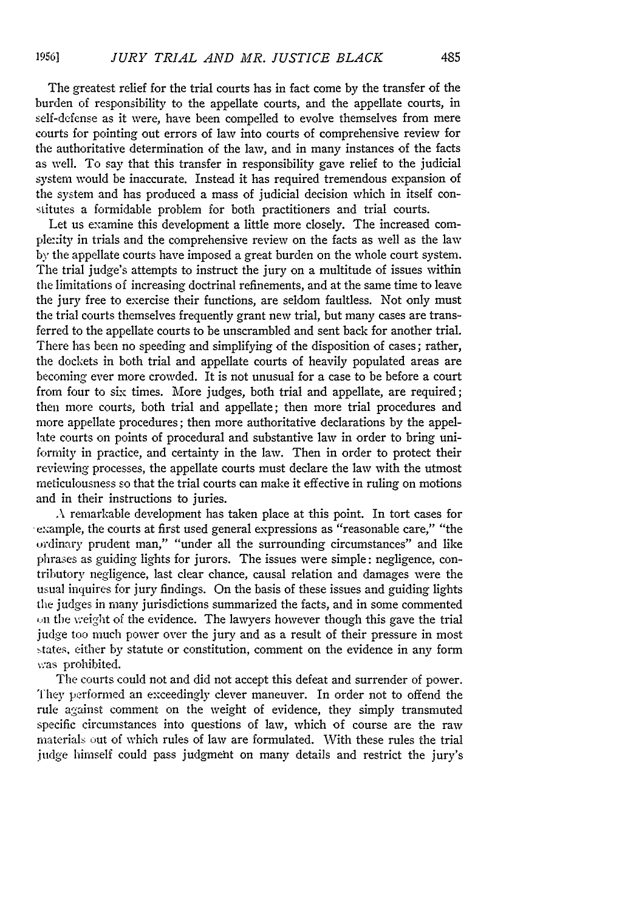The greatest relief for the trial courts has in fact come by the transfer of the burden of responsibility to the appellate courts, and the appellate courts, in self-defense as it were, have been compelled to evolve themselves from mere courts for pointing out errors of law into courts of comprehensive review for the authoritative determination of the law, and in many instances of the facts as well. To say that this transfer in responsibility gave relief to the judicial system would be inaccurate. Instead it has required tremendous expansion of the system and has produced a mass of judicial decision which in itself constitutes a formidable problem for both practitioners and trial courts.

Let us examine this development a little more closely. The increased comple:xity in trials and the comprehensive review on the facts as well as the law **by** the appellate courts have imposed a great burden on the whole court system. The trial judge's attempts to instruct the jury on a multitude of issues within the limitations of increasing doctrinal refinements, and at the same time to leave the jury free to exercise their functions, are seldom faultless. Not only must the trial courts themselves frequently grant new trial, but many cases are transferred to the appellate courts to be unscrambled and sent back for another trial. There has been no speeding and simplifying of the disposition of cases; rather, the dockets in both trial and appellate courts of heavily populated areas are becoming ever more crowded. It is not unusual for a case to be before a court from four to six times. More judges, both trial and appellate, are required; then more courts, both trial and appellate; then more trial procedures and more appellate procedures; then more authoritative declarations by the appellate courts on points of procedural and substantive law in order to bring uniformity in practice, and certainty in the law. Then in order to protect their reviewing processes, the appellate courts must declare the law with the utmost meticulousness so that the trial courts can make it effective in ruling on motions and in their instructions to juries.

**A** remarkable development has taken place at this point. In tort cases for example, the courts at first used general expressions as "reasonable care," "the ordinary prudent man," "under all the surrounding circumstances" and like phrases as guiding lights for jurors. The issues were simple: negligence, contributory negligence, last clear chance, causal relation and damages were the usual inquires for jury findings. On the basis of these issues and guiding lights the judges in many jurisdictions summarized the facts, and in some commented on the weight of the evidence. The lawyers however though this gave the trial judge too much power over the jury and as a result of their pressure in most states, either by statute or constitution, comment on the evidence in any form v.as prohibited.

The courts could not and did not accept this defeat and surrender of power. They performed an exceedingly clever maneuver. In order not to offend the rule against comment on the weight of evidence, they simply transmuted specific circumstances into questions of law, which of course are the raw materials out of which rules of law are formulated. With these rules the trial judge himself could pass judgmeht on many details and restrict the jury's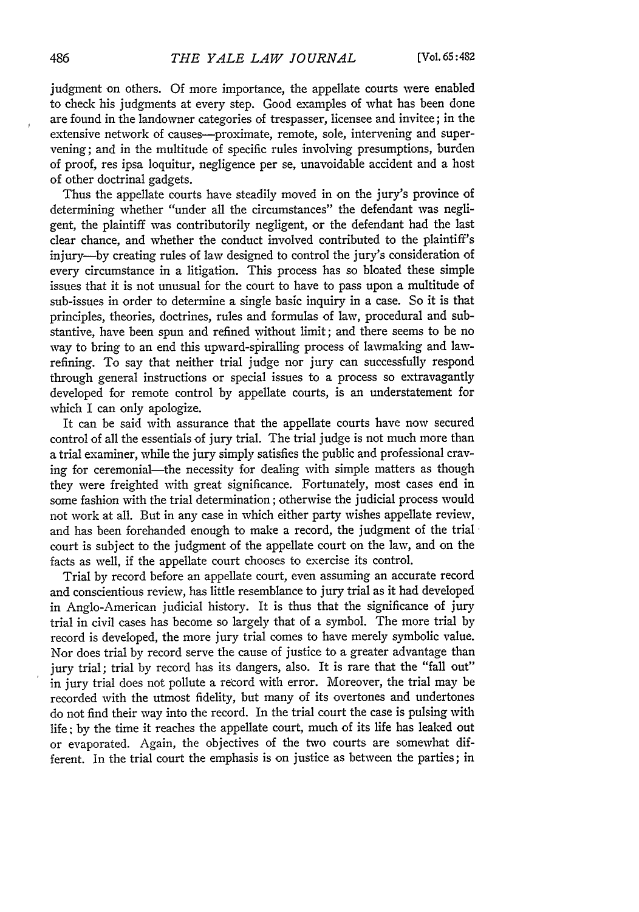judgment on others. Of more importance, the appellate courts were enabled to check his judgments at every step. Good examples of what has been done are found in the landowner categories of trespasser, licensee and invitee; in the extensive network of causes--proximate, remote, sole, intervening and supervening; and in the multitude of specific rules involving presumptions, burden of proof, res ipsa loquitur, negligence per se, unavoidable accident and a host of other doctrinal gadgets.

Thus the appellate courts have steadily moved in on the jury's province of determining whether "under all the circumstances" the defendant was negligent, the plaintiff was contributorily negligent, or the defendant had the last clear chance, and whether the conduct involved contributed to the plaintiff's injury-by creating rules of law designed to control the jury's consideration of every circumstance in a litigation. This process has so bloated these simple issues that it is not unusual for the court to have to pass upon a multitude of sub-issues in order to determine a single basic inquiry in a case. So it is that principles, theories, doctrines, rules and formulas of law, procedural and substantive, have been spun and refined without limit; and there seems to be no way to bring to an end this upward-spiralling process of lawmaking and lawrefining. To say that neither trial judge nor jury can successfully respond through general instructions or special issues to a process so extravagantly developed for remote control by appellate courts, is an understatement for which I can only apologize.

It can be said with assurance that the appellate courts have now secured control of all the essentials of jury trial. The trial judge is not much more than a trial examiner, while the jury simply satisfies the public and professional craving for ceremonial-the necessity for dealing with simple matters as though they were freighted with great significance. Fortunately, most cases end in some fashion with the trial determination; otherwise the judicial process would not work at all. But in any case in which either party wishes appellate review, and has been forehanded enough to make a record, the judgment of the trial court is subject to the judgment of the appellate court on the law, and on the facts as well, if the appellate court chooses to exercise its control.

Trial by record before an appellate court, even assuming an accurate record and conscientious review, has little resemblance to jury trial as it had developed in Anglo-American judicial history. It is thus that the significance of jury trial in civil cases has become so largely that of a symbol. The more trial by record is developed, the more jury trial comes to have merely symbolic value. Nor does trial by record serve the cause of justice to a greater advantage than jury trial; trial by record has its dangers, also. It is rare that the "fall out" in jury trial does not pollute a record with error. Moreover, the trial may be recorded with the utmost fidelity, but many of its overtones and undertones do not find their way into the record. In the trial court the case is pulsing with life; by the time it reaches the appellate court, much of its life has leaked out or evaporated. Again, the objectives of the two courts are somewhat different. In the trial court the emphasis is on justice as between the parties; in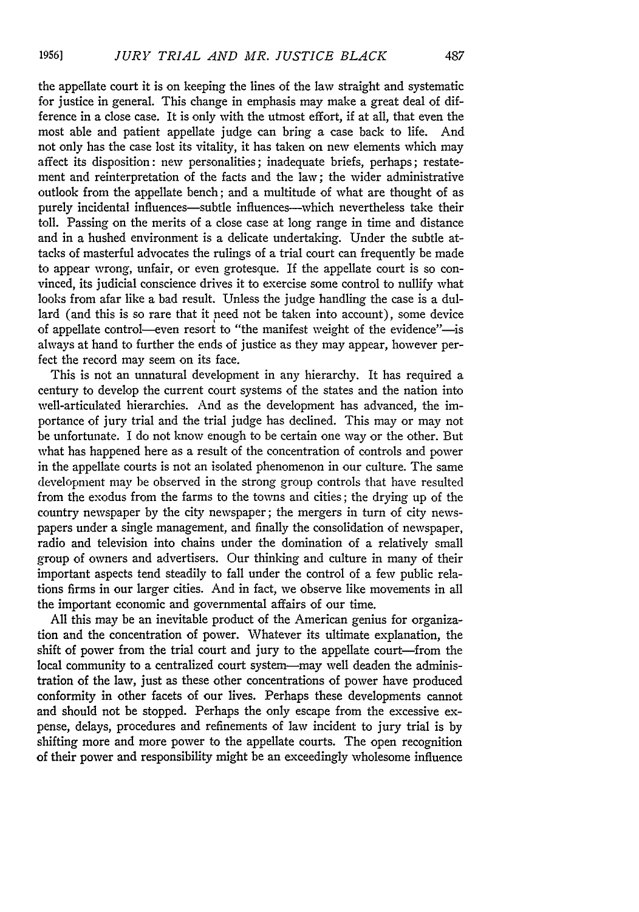the appellate court it is on keeping the lines of the law straight and systematic for justice in general. This change in emphasis may make a great deal of difference in a close case. It is only with the utmost effort, if at all, that even the most able and patient appellate judge can bring a case back to life. And not only has the case lost its vitality, it has taken on new elements which may affect its disposition: new personalities; inadequate briefs, perhaps; restatement and reinterpretation of the facts and the law; the wider administrative outlook from the appellate bench; and a multitude of what are thought of as purely incidental influences-subtle influences-which nevertheless take their toll. Passing on the merits of a close case at long range in time and distance and in a hushed environment is a delicate undertaking. Under the subtle attacks of masterful advocates the rulings of a trial court can frequently be made to appear wrong, unfair, or even grotesque. If the appellate court is so convinced, its judicial conscience drives it to exercise some control to nullify what looks from afar like a bad result. Unless the judge handling the case is a dullard (and this is so rare that it need not be taken into account), some device of appellate control—even resort to "the manifest weight of the evidence"—is always at hand to further the ends of justice as they may appear, however perfect the record may seem on its face.

This is not an unnatural development in any hierarchy. It has required a century to develop the current court systems of the states and the nation into well-articulated hierarchies. And as the development has advanced, the importance of jury trial and the trial judge has declined. This may or may not be unfortunate. I do not know enough to be certain one way or the other. But what has happened here as a result of the concentration of controls and power in the appellate courts is not an isolated phenomenon in our culture. The same development may be observed in the strong group controls that have resulted from the exodus from the farms to the towns and cities; the drying up of the country newspaper by the city newspaper; the mergers in turn of city newspapers under a single management, and finally the consolidation of newspaper, radio and television into chains under the domination of a relatively small group of owners and advertisers. Our thinking and culture in many of their important aspects tend steadily to fall under the control of a few public relations firms in our larger cities. And in fact, we observe like movements in all the important economic and governmental affairs of our time.

All this may be an inevitable product of the American genius for organization and the concentration of power. Whatever its ultimate explanation, the shift of power from the trial court and jury to the appellate court-from the local community to a centralized court system-may well deaden the administration of the law, just as these other concentrations of power have produced conformity in other facets of our lives. Perhaps these developments cannot and should not be stopped. Perhaps the only escape from the excessive expense, delays, procedures and refinements of law incident to jury trial is by shifting more and more power to the appellate courts. The open recognition of their power and responsibility might be an exceedingly wholesome influence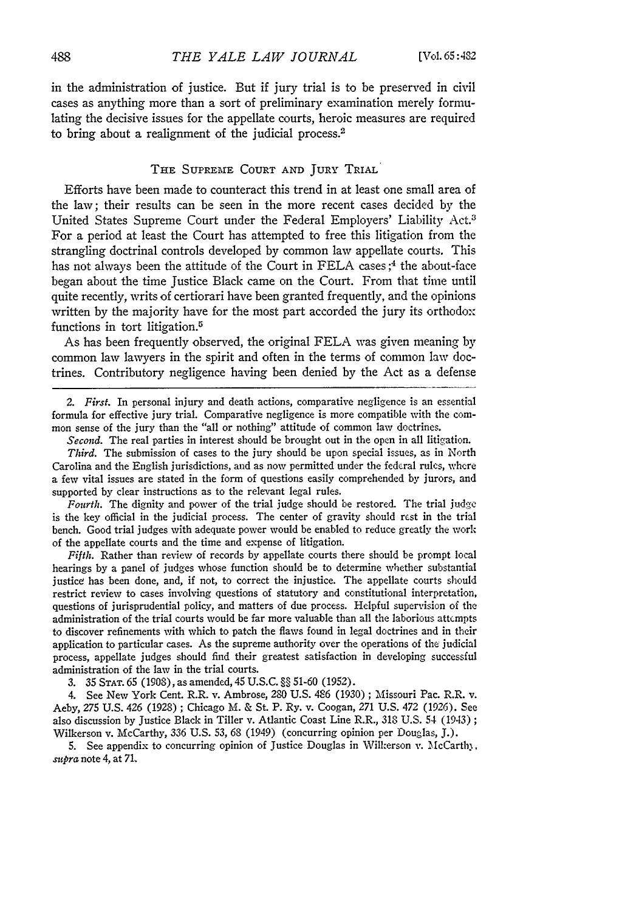in the administration of justice. But if jury trial is to be preserved in civil cases as anything more than a sort of preliminary examination merely formulating the decisive issues for the appellate courts, heroic measures are required to bring about a realignment of the judicial process.<sup>2</sup>

### **THE SUPREME COURT AND JURY TRIAL**

Efforts have been made to counteract this trend in at least one small area of the law; their results can be seen in the more recent cases decided by the United States Supreme Court under the Federal Employers' Liability Act.<sup>3</sup> For a period at least the Court has attempted to free this litigation from the strangling doctrinal controls developed by common law appellate courts. This has not always been the attitude of the Court in FELA cases;<sup>4</sup> the about-face began about the time Justice Black came on the Court. From that time until quite recently, writs of certiorari have been granted frequently, and the opinions written by the majority have for the most part accorded the jury its orthodox functions in tort litigation.<sup>5</sup>

As has been frequently observed, the original FELA was given meaning by common law lawyers in the spirit and often in the terms of common law doctrines. Contributory negligence having been denied by the Act as a defense

*2. First.* In personal injury and death actions, comparative negligence is an essential formula for effective jury trial. Comparative negligence is more compatible with the common sense of the jury than the "all or nothing" attitude of common law doctrines.

*Second.* The real parties in interest should be brought out in the open in all litigation.

*Third.* The submission of cases to the jury should be upon special issues, as in North Carolina and the English jurisdictions, and as now permitted under the federal rules, where a few vital issues are stated in the form of questions easily comprehended by jurors, and supported by clear instructions as to the relevant legal rules.

Fourth. The dignity and power of the trial judge should be restored. The trial **judge** is the key official in the judicial process. The center of gravity should rest in the trial bench. Good trial judges with adequate power would be enabled to reduce greatly the work of the appellate courts and the time and expense of litigation.

*Fifth.* Rather than review of records by appellate courts there should be prompt local hearings by a panel of judges whose function should be to determine whether substantial justice has been done, and, if not, to correct the injustice. The appellate courts should restrict review to cases involving questions of statutory and constitutional interpretation, questions of jurisprudential policy, and matters of due process. Helpful supervision of the administration of the trial courts would be far more valuable than all the laborious attempts to discover refinements with which to patch the flaws found in legal doctrines and in their application to particular cases. As the supreme authority over the operations of the judicial process, appellate judges should find their greatest satisfaction in developing successful administration of the law in the trial courts.

**3.** 35 **STAT.** 65 (1908), as amended, 45 U.S.C. §§ 51-60 (1952).

4. See New York Cent. R.R. v. Ambrose, 280 U.S. 486 (1930) ; Missouri Pac. R.R. v. Aeby, *275* U.S. 426 (1928); Chicago M. & St. P. Ry. v. Coogan, *271* U.S. 472 (1926). See also discussion by Justice Black in Tiller v. Atlantic Coast Line R.R., 318 U.S. 54 (1943) Wilkerson v. McCarthy, 336 U.S. *53,* 68 (1949) (concurring opinion per Douglas, J.).

5. See appendix to concurring opinion of Justice Douglas in Wilkerson v. McCarthy, *mcpra* note 4, at **71,**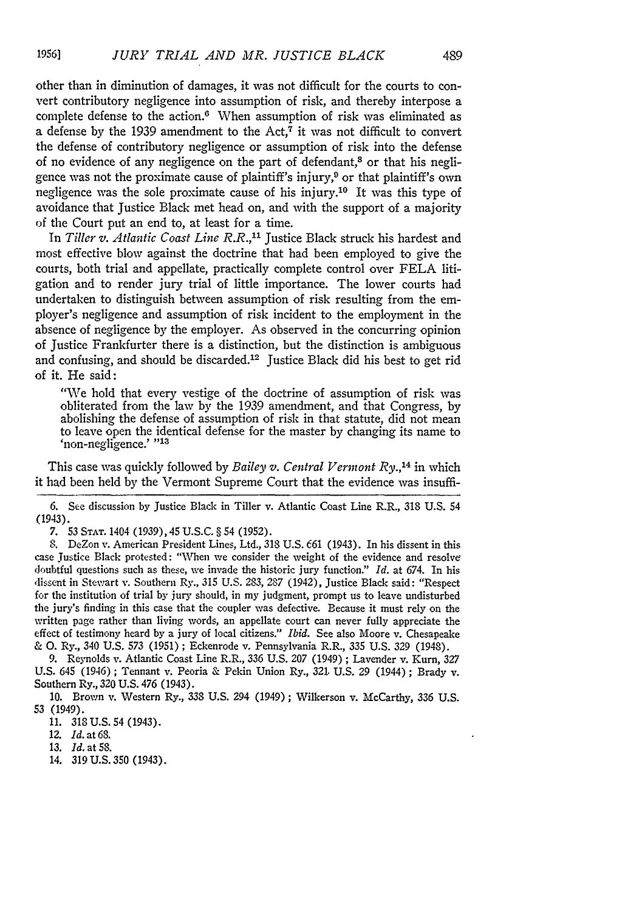other than in diminution of damages, it was not difficult for the courts to convert contributory negligence into assumption of risk, and thereby interpose a complete defense to the action.<sup>6</sup> When assumption of risk was eliminated as a defense by the 1939 amendment to the Act,<sup>7</sup> it was not difficult to convert the defense of contributory negligence or assumption of risk into the defense of no evidence of any negligence on the part of defendant,<sup>8</sup> or that his negligence was not the proximate cause of plaintiff's injury,<sup>9</sup> or that plaintiff's own negligence was the sole proximate cause of his injury.10 It was this type of avoidance that Justice Black met head on, and with the support of a majority of the Court put an end to, at least for a time.

In *Tiller v. Atlantic Coast Line R.R.,"* Justice Black struck his hardest and most effective blow against the doctrine that had been employed to give the courts, both trial and appellate, practically complete control over FELA litigation and to render jury trial of little importance. The lower courts had undertaken to distinguish between assumption of risk resulting from the employer's negligence and assumption of risk incident to the employment in the absence of negligence by the employer. As observed in the concurring opinion of Justice Frankfurter there is a distinction, but the distinction is ambiguous and confusing, and should be discarded.<sup>12</sup> Justice Black did his best to get rid of it. He said:

"We hold that every vestige of the doctrine of assumption of risk was obliterated from the law by the 1939 amendment, and that Congress, by abolishing the defense of assumption of risk in that statute, did not mean to leave open the identical defense for the master by changing its name to 'non-negligence.' **"13**

This case was quickly followed by *Bailey v. Central Vermont Ry.,<sup>14</sup>*in which it had been held by the Vermont Supreme Court that the evidence was insuffi-

6. **See** discussion by Justice Black in Tiller v. Atlantic Coast Line R.R., 318 U.S. 54 (1943).

*7.* 53 **STAT.** 1404 (1939), 45 U.S.C. *§* 54 (1952).

**8.** DeZon v. American President Lines, Ltd., 318 U.S. *661* (1943). In his dissent in this case Justice Black protested: "When we consider the weight of the evidence and resolve doubtful questions such as these, we invade the historic jury function." *Id.* at 674. In his dissent in Stewart v. Southern Ry., **315** U.S. 283, 287 (1942), Justice Black said: "Respect for the institution of trial by jury should, in my judgment, prompt us to leave undisturbed the jury's finding in this case that the coupler was defective. Because it must rely on the written page rather than living words, an appellate court can never fully appreciate the effect of testimony heard by a jury of local citizens." *Ibid.* See also Moore v. Chesapeake & **0.** Ry., 340 U.S. 573 (1951) ; Eckenrode v. Pennsylvania R.R., 335 U.S. 329 (1948).

9. Reynolds v. Atlantic Coast Line R.R., 336 U.S. 207 (1949) ; Lavender v. Kurn, 327 U.S. 645 (1946); Tennant v. Peoria & Pekin Union Ry., 321. U.S. 29 (1944); Brady v. Southern Ry., 320 U.S. 476 (1943).

10. Brown v. Western Ry., 338 U.S. 294 (1949); Wilkerson v. McCarthy, 336 U.S. 53 (1949).

11. 318U.S. 54 (1943).

12. *Id.* at 68.

13. *Id.* at 58.

14. 319 U.S. 350 (1943).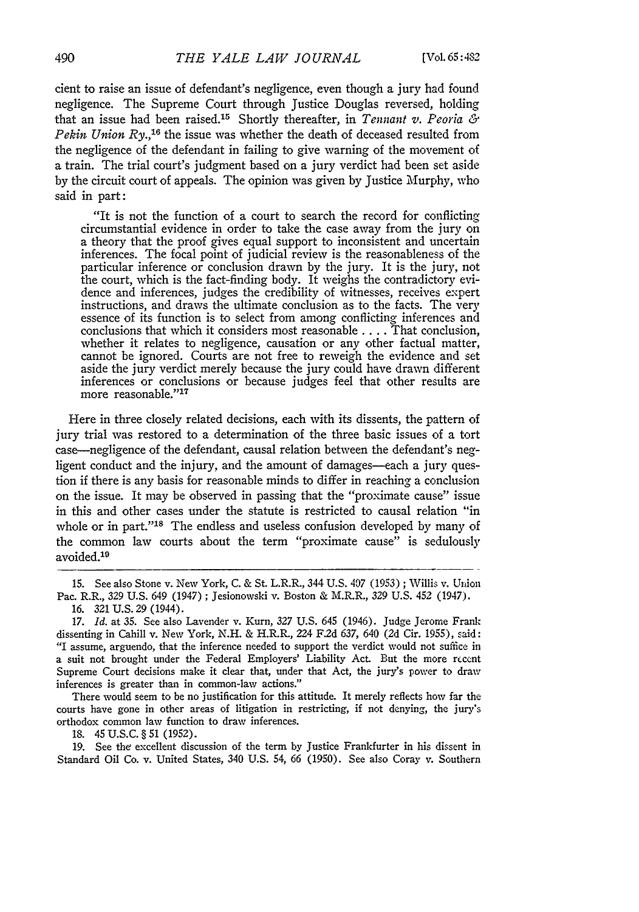cient to raise an issue of defendant's negligence, even though a jury had found negligence. The Supreme Court through Justice Douglas reversed, holding that an issue had been raised.15 Shortly thereafter, in *Tennant v. Peoria & Pekin Union Ry.*,<sup>16</sup> the issue was whether the death of deceased resulted from the negligence of the defendant in failing to give warning of the movement of a train. The trial court's judgment based on a jury verdict had been set aside by the circuit court of appeals. The opinion was given by Justice Murphy, who said in part:

"It is not the function of a court to search the record for conflicting circumstantial evidence in order to take the case away from the jury on a theory that the proof gives equal support to inconsistent and uncertain inferences. The focal point of judicial review is the reasonableness of the particular inference or conclusion drawn by the jury. It is the jury, not the court, which is the fact-finding body. It weighs the contradictory evidence and inferences, judges the credibility of witnesses, receives expert instructions, and draws the ultimate conclusion as to the facts. The very essence of its function is to select from among conflicting inferences and conclusions that which it considers most reasonable **....** That conclusion, whether it relates to negligence, causation or any other factual matter, cannot be ignored. Courts are not free to reweigh the evidence and set aside the jury verdict merely because the jury could have drawn different inferences or conclusions or because judges feel that other results are more reasonable."<sup>17</sup>

Here in three closely related decisions, each with its dissents, the pattern of jury trial was restored to a determination of the three basic issues of a tort case-negligence of the defendant, causal relation between the defendant's negligent conduct and the injury, and the amount of damages—each a jury question if there is any basis for reasonable minds to differ in reaching a conclusion on the issue. It may be observed in passing that the "proximate cause" issue in this and other cases under the statute is restricted to causal relation "in whole or in part."<sup>18</sup> The endless and useless confusion developed by many of the common law courts about the term "proximate cause" is sedulously avoided.<sup>19</sup>

16. 321 U.S. 29 (1944).

*17. Id.* at 35. See also Lavender v. Kurn, *327* U.S. 645 (1946). Judge Jerome Frantz dissenting in Cahill v. New York, N.H. & H.R.R., 224 **F2d** 637, 640 (2d Cir. 1955), said: "I assume, arguendo, that the inference needed to support the verdict would not suffice in a suit not brought under the Federal Employers' Liability Act. But the more rccent Supreme Court decisions make it clear that, under that Act, the jury's power to draw inferences is greater than in common-law actions."

There would seem to be no justification for this attitude. It merely reflects how far the courts have gone in other areas of litigation in restricting, if not denying, the jury's orthodox common law function to draw inferences.

18. 45 U.S.C. **§** 51 (1952).

19. See the excellent discussion of the term by Justice Frankfurter in his dissent in Standard Oil Co. v. United States, 340 U.S. 54, 66 (1950). See also Coray v. Southern

<sup>15.</sup> See also Stone v. New York, C. & St. L.R.R., 344 U.S. *497* (1953) ; Willis v. Union Pac. R.R., 329 U.S. 649 (1947); Jesionowski v. Boston & M.R.R., 329 U.S. 452 (1947).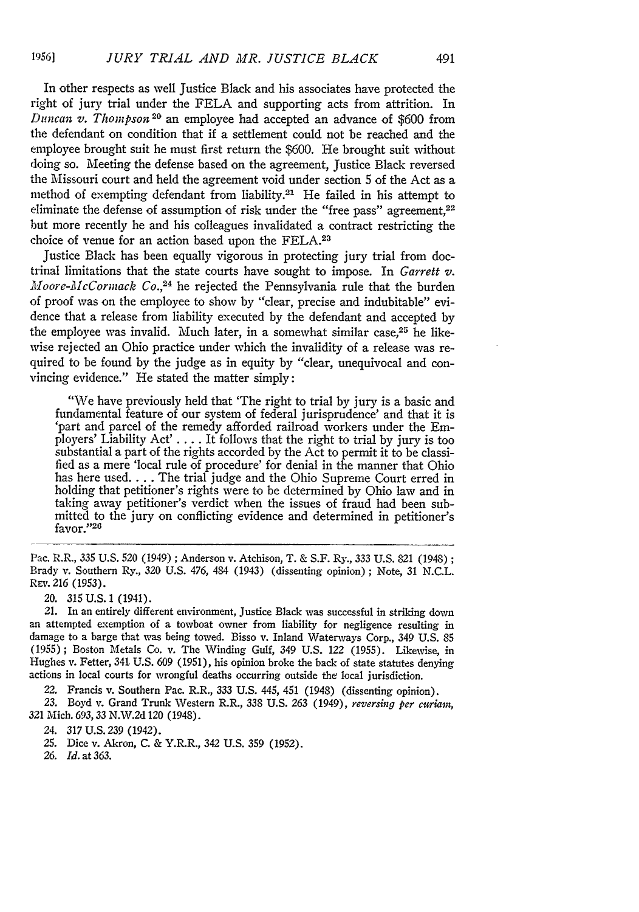In other respects as well Justice Black and his associates have protected the right of jury trial under the FELA and supporting acts from attrition. In *Duncan v. Thompson* 2 <sup>0</sup>an employee had accepted an advance of \$600 from the defendant on condition that if a settlement could not be reached and the employee brought suit he must first return the \$600. He brought suit without doing so. Meeting the defense based on the agreement, Justice Black reversed the Missouri court and held the agreement void under section 5 of the Act as a method of exempting defendant from liability.21 He failed in his attempt to eliminate the defense of assumption of risk under the "free pass" agreement,<sup>22</sup> but more recently he and his colleagues invalidated a contract restricting the choice of venue for an action based upon the **FELA.2 <sup>3</sup>**

Justice Black has been equally vigorous in protecting jury trial from doctrinal limitations that the state courts have sought to impose. In *Garrett v. Moore-McCornzack Co.,24* he rejected the Pennsylvania rule that the burden of proof was on the employee to show by "clear, precise and indubitable" evidence that a release from liability executed by the defendant and accepted by the employee was invalid. Much later, in a somewhat similar case.<sup>25</sup> he likewise rejected an Ohio practice under which the invalidity of a release was required to be found by the judge as in equity by "clear, unequivocal and convincing evidence." He stated the matter simply:

"We have previously held that 'The right to trial by jury is a basic and fundamental feature of our system of federal jurisprudence' and that it is 'part and parcel of the remedy afforded railroad workers under the Employers' Liability  $Act' \ldots$ . It follows that the right to trial by jury is too substantial a part of the rights accorded by the Act to permit it to be classified as a mere 'local rule of procedure' for denial in the manner that Ohio has here used.... The trial judge and the Ohio Supreme Court erred in holding that petitioner's rights were to be determined by Ohio law and in taking away petitioner's verdict when the issues of fraud had been submitted to the jury on conflicting evidence and determined in petitioner's favor."26

Pac. R.R., 335 U.S. 520 (1949) **;** Anderson v. Atchison, T. & S.F. Ry., 333 U.S. 821 (1948); Brady v. Southern Ry., 320 U.S. 476, 484 (1943) (dissenting opinion) ; Note, 31 N.C.L. REv. *216* (1953).

20. **315** U.S. 1 (1941). an attempted exemption of a towboat owner from liability for negligence resulting in damage to a barge that was being towed. Bisso v. Inland Waterways Corp., 349 U.S. 85 (1955); Boston Metals Co. v. The Winding Gulf, 349 U.S. 122 (1955). Likewise, in Hughes v. Fetter, 341 U.S. 609 (1951), his opinion broke the back of state statutes denying actions in local courts for wrongful deaths occurring outside the local jurisdiction.

22. Francis v. Southern Pac. R.R., 333 U.S. 445, 451 (1948) (dissenting opinion).

23. Boyd v. Grand Trunk Western R.R., 338 U.S. *263* (1949), *reversing per curiam, 321* Mich. 693,33 N.W.2d 120 (1948).

24. 317 U.S. 239 (1942).

25. Dice v. Akron, C. & Y.R.R., 342 U.S. 359 (1952).

*26.* **Id.** at 363.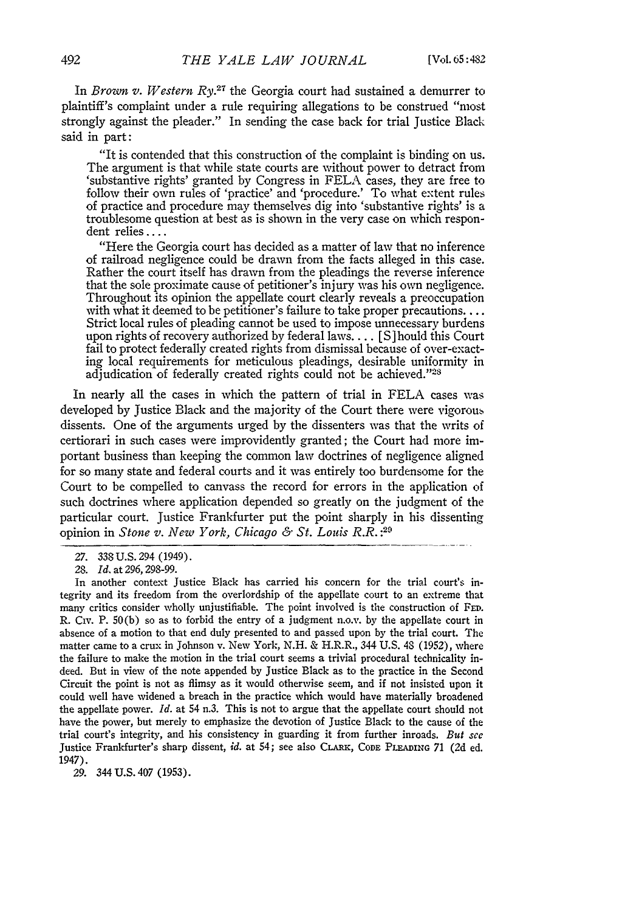In *Brown v. Western Ry.*<sup>27</sup> the Georgia court had sustained a demurrer to plaintiff's complaint under a rule requiring allegations to be construed "most strongly against the pleader." In sending the case back for trial Justice Black said in part:

"It is contended that this construction of the complaint is binding on us. 'substantive rights' granted by Congress in FELA cases, they are free to follow their own rules of 'practice' and 'procedure.' To what extent rules of practice and procedure may themselves dig into 'substantive rights' is a troublesome question at best as is shown in the very case on which respondent relies ....

"Here the Georgia court has decided as a matter of law that no inference of railroad negligence could be drawn from the facts alleged in this case. Rather the court itself has drawn from the pleadings the reverse inference that the sole proximate cause of petitioner's injury was his own negligence. Throughout its opinion the appellate court clearly reveals a preoccupation with what it deemed to be petitioner's failure to take proper precautions... Strict local rules of pleading cannot be used to impose unnecessary burdens upon rights of recovery authorized by federal laws **....** *[S* hould this Court fail to protect federally created rights from dismissal because of over-exacting local requirements for meticulous pleadings, desirable uniformity in adjudication of federally created rights could not be achieved."<sup>28</sup>

In nearly all the cases in which the pattern of trial in FELA cases was developed by Justice Black and the majority of the Court there were vigorous dissents. One of the arguments urged by the dissenters was that the writs of certiorari in such cases were improvidently granted; the Court had more important business than keeping the common law doctrines of negligence aligned for so many state and federal courts and it was entirely too burdensome for the Court to be compelled to canvass the record for errors in the application of such doctrines where application depended so greatly on the judgment of the particular court. Justice Frankfurter put the point sharply in his dissenting opinion in *Stone v. New York, Chicago & St. Louis R.R. :20*

29. 344 U.S. 407 (1953).

<sup>27. 338</sup>U.S.294 (1949).

<sup>28.</sup> *Id.* at 296, 298-99.

In another context Justice Black has carried his concern for the trial court's integrity and its freedom from the overlordship of the appellate court to an extreme that many critics consider wholly unjustifiable. The point involved is the construction of **FED.** R. CIv. P. 50(b) so as to forbid the entry of a judgment n.o.v, by the appellate court in absence of a motion to that end duly presented to and passed upon by the trial court. The matter came to a crux in Johnson v. New York, N.H. & H.R.R., 344 U.S. 48 (1952), where the failure to make the motion in the trial court seems a trivial procedural technicality indeed. But in view of the note appended **by** Justice Black as to the practice in the Second Circuit the point is not as flimsy as it would otherwise seem, and if not insisted upon it could well have widened a breach in the practice which would have materially broadened the appellate power. *Id.* at 54 n.3. This is not to argue that the appellate court should not have the power, but merely to emphasize the devotion of Justice Black to the cause of the trial court's integrity, and his consistency in guarding it from further inroads. *But* see Justice Frankfurter's sharp dissent, *id.* at 54; see also CLARK, **CODE PLEADING** 71 (2d ed. 1947).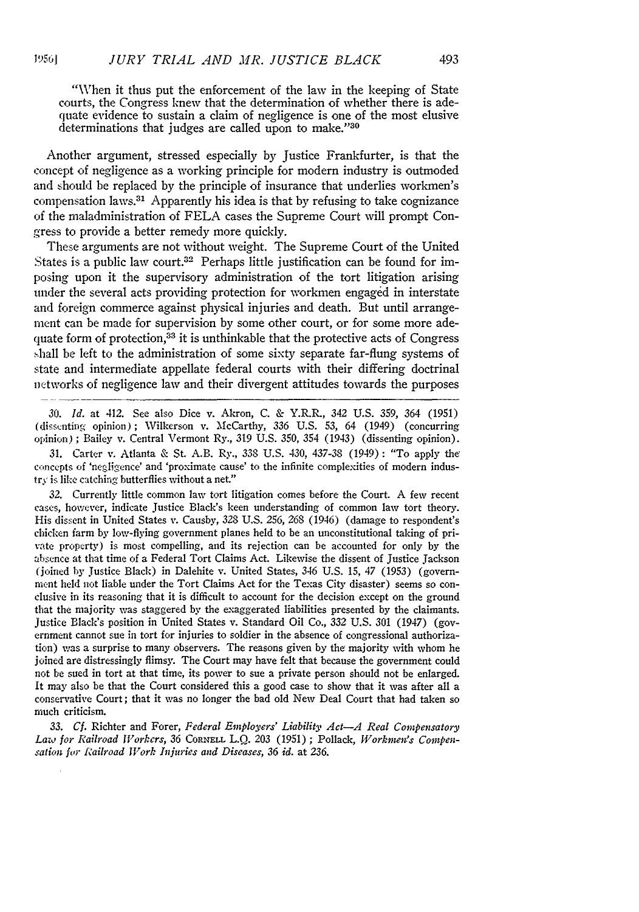**1')561**

"When it thus put the enforcement of the law in the keeping of State courts, the Congress knew that the determination of whether there is adequate evidence to sustain a claim of negligence is one of the most elusive determinations that judges are called upon to make."30

Another argument, stressed especially by Justice Frankfurter, is that the concept of negligence as a working principle for modern industry is outmoded and should be replaced by the principle of insurance that underlies workmen's compensation laws.31 Apparently his idea is that by refusing to take cognizance of the maladministration of FELA cases the Supreme Court will prompt Congress to provide a better remedy more quickly.

These arguments are not without weight. The Supreme Court of the United States is a public law court.<sup>32</sup> Perhaps little justification can be found for imposing upon it the supervisory administration of the tort litigation arising under the several acts providing protection for workmen engaged in interstate and foreign commerce against physical injuries and death. But until arrangement can be made for supervision by some other court, or for some more adequate form of protection,  $33$  it is unthinkable that the protective acts of Congress .hall be left to the administration of some sixty separate far-flung systems of state and intermediate appellate federal courts with their differing doctrinal networks of negligence law and their divergent attitudes towards the purposes

30. *Id.* at 412. See also Dice v. Akron, C. & Y.R.R., 342 U.S. 359, 364 (1951) (disscnting opinion) **;** Wilkerson v. McCarthy, 336 U.S. 53, 64 (1949) (concurring opinion) ; Bailey v. Central Vermont Ry., 319 U.S. 350, 354 (1943) (dissenting opinion).

31. Carter v. Atlanta & St. A.B. Ry., 338 U.S. 430, 437-38 (1949): "To apply the' concepts of 'negligence' and 'proximate cause' to the infinite complexities of modern industry is like catching butterflies without a net."

32. Currently little common law tort litigation comes before the Court. A few recent cases, however, indicate Justice Black's keen understanding of common law tort theory. His dissent in United States v. Causby, 328 U.S. *256, 268* (1946) (damage to respondent's chicken farm by low-flying government planes held to be an unconstitutional taking of private property) is most compelling, and its rejection can be accounted for only by the absence at that time of a Federal Tort Claims Act. Likewise the dissent of Justice Jackson (joined by Justice Black) in Dalehite v. United States, 346 U.S. 15, 47 (1953) (government held not liable under the Tort Claims Act for the Texas City disaster) seems so conclusive in its reasoning that it is difficult to account for the decision except on the ground that the majority was staggered by the exaggerated liabilities presented by the claimants. Justice Black's position in United States v. Standard Oil Co., 332 U.S. 301 (1947) (government cannot sue in tort for injuries to soldier in the absence of congressional authorization) was a surprise to many observers. The reasons given by the majority with whom he joined are distressingly flimsy. The Court may have felt that because the government could not be sued in tort at that time, its power to sue a private person should not be enlarged. It may also be that the Court considered this a good case to show that it was after all a conservative Court; that it was no longer the bad old New Deal Court that had taken so much criticism.

33. *Cf.* Richter and Forer, *Federal Employers' Liability Act-A Real Compensatory Law for Railroad Workers,* 36 **CORNELL** L.Q. 203 (1951) ; Pollack, *Workwen's Compensation* **for** *Railroad IVork Iniuries and Diseases,* 36 *id.* at 236.